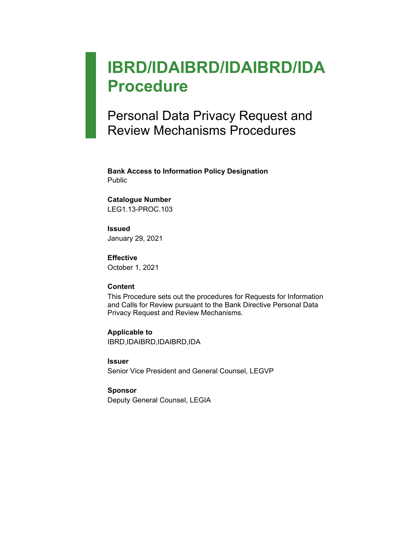# **IBRD/IDAIBRD/IDAIBRD/IDA Procedure**

## Personal Data Privacy Request and Review Mechanisms Procedures

**Bank Access to Information Policy Designation** Public

#### **Catalogue Number**

LEG1.13-PROC.103

## **Issued**

January 29, 2021

#### **Effective**

October 1, 2021

#### **Content**

This Procedure sets out the procedures for Requests for Information and Calls for Review pursuant to the Bank Directive Personal Data Privacy Request and Review Mechanisms.

#### **Applicable to**

IBRD,IDAIBRD,IDAIBRD,IDA

#### **Issuer**

Senior Vice President and General Counsel, LEGVP

#### **Sponsor**

Deputy General Counsel, LEGIA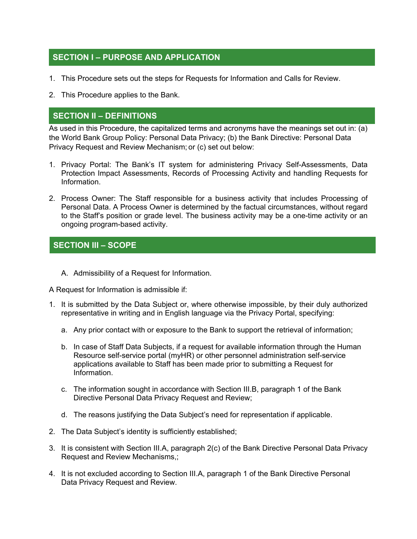## **SECTION I – PURPOSE AND APPLICATION**

- 1. This Procedure sets out the steps for Requests for Information and Calls for Review.
- 2. This Procedure applies to the Bank.

### **SECTION II – DEFINITIONS**

As used in this Procedure, the capitalized terms and acronyms have the meanings set out in: (a) the World Bank Group Policy: Personal Data Privacy; (b) the Bank Directive: Personal Data Privacy Request and Review Mechanism; or (c) set out below:

- 1. Privacy Portal: The Bank's IT system for administering Privacy Self-Assessments, Data Protection Impact Assessments, Records of Processing Activity and handling Requests for Information.
- 2. Process Owner: The Staff responsible for a business activity that includes Processing of Personal Data. A Process Owner is determined by the factual circumstances, without regard to the Staff's position or grade level. The business activity may be a one-time activity or an ongoing program-based activity.

## **SECTION III – SCOPE**

A. Admissibility of a Request for Information.

A Request for Information is admissible if:

- 1. It is submitted by the Data Subject or, where otherwise impossible, by their duly authorized representative in writing and in English language via the Privacy Portal, specifying:
	- a. Any prior contact with or exposure to the Bank to support the retrieval of information;
	- b. In case of Staff Data Subjects, if a request for available information through the Human Resource self-service portal (myHR) or other personnel administration self-service applications available to Staff has been made prior to submitting a Request for Information.
	- c. The information sought in accordance with Section III.B, paragraph 1 of the Bank Directive Personal Data Privacy Request and Review;
	- d. The reasons justifying the Data Subject's need for representation if applicable.
- 2. The Data Subject's identity is sufficiently established;
- 3. It is consistent with Section III.A, paragraph 2(c) of the Bank Directive Personal Data Privacy Request and Review Mechanisms,;
- 4. It is not excluded according to Section III.A, paragraph 1 of the Bank Directive Personal Data Privacy Request and Review.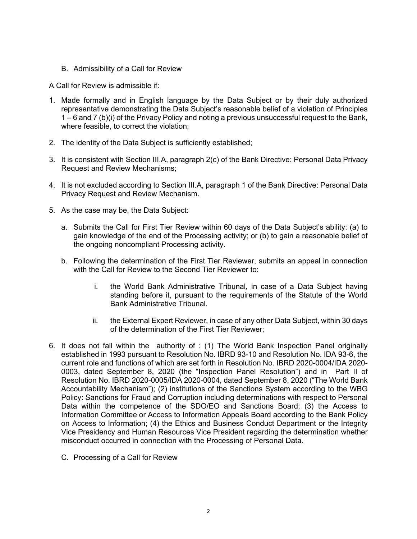B. Admissibility of a Call for Review

A Call for Review is admissible if:

- 1. Made formally and in English language by the Data Subject or by their duly authorized representative demonstrating the Data Subject's reasonable belief of a violation of Principles 1 – 6 and 7 (b)(i) of the Privacy Policy and noting a previous unsuccessful request to the Bank, where feasible, to correct the violation;
- 2. The identity of the Data Subject is sufficiently established;
- 3. It is consistent with Section III.A, paragraph 2(c) of the Bank Directive: Personal Data Privacy Request and Review Mechanisms;
- 4. It is not excluded according to Section III.A, paragraph 1 of the Bank Directive: Personal Data Privacy Request and Review Mechanism.
- 5. As the case may be, the Data Subject:
	- a. Submits the Call for First Tier Review within 60 days of the Data Subject's ability: (a) to gain knowledge of the end of the Processing activity; or (b) to gain a reasonable belief of the ongoing noncompliant Processing activity.
	- b. Following the determination of the First Tier Reviewer, submits an appeal in connection with the Call for Review to the Second Tier Reviewer to:
		- i. the World Bank Administrative Tribunal, in case of a Data Subject having standing before it, pursuant to the requirements of the Statute of the World Bank Administrative Tribunal.
		- ii. the External Expert Reviewer, in case of any other Data Subject, within 30 days of the determination of the First Tier Reviewer;
- 6. It does not fall within the authority of : (1) The World Bank Inspection Panel originally established in 1993 pursuant to Resolution No. IBRD 93-10 and Resolution No. IDA 93-6, the current role and functions of which are set forth in Resolution No. IBRD 2020-0004/IDA 2020- 0003, dated September 8, 2020 (the "Inspection Panel Resolution") and in Part II of Resolution No. IBRD 2020-0005/IDA 2020-0004, dated September 8, 2020 ("The World Bank Accountability Mechanism"); (2) institutions of the Sanctions System according to the WBG Policy: Sanctions for Fraud and Corruption including determinations with respect to Personal Data within the competence of the SDO/EO and Sanctions Board; (3) the Access to Information Committee or Access to Information Appeals Board according to the Bank Policy on Access to Information; (4) the Ethics and Business Conduct Department or the Integrity Vice Presidency and Human Resources Vice President regarding the determination whether misconduct occurred in connection with the Processing of Personal Data.
	- C. Processing of a Call for Review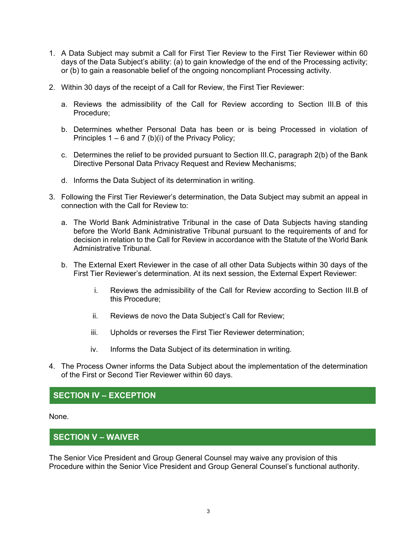- 1. A Data Subject may submit a Call for First Tier Review to the First Tier Reviewer within 60 days of the Data Subject's ability: (a) to gain knowledge of the end of the Processing activity; or (b) to gain a reasonable belief of the ongoing noncompliant Processing activity.
- 2. Within 30 days of the receipt of a Call for Review, the First Tier Reviewer:
	- a. Reviews the admissibility of the Call for Review according to Section III.B of this Procedure;
	- b. Determines whether Personal Data has been or is being Processed in violation of Principles  $1 - 6$  and  $7$  (b)(i) of the Privacy Policy;
	- c. Determines the relief to be provided pursuant to Section III.C, paragraph 2(b) of the Bank Directive Personal Data Privacy Request and Review Mechanisms;
	- d. Informs the Data Subject of its determination in writing.
- 3. Following the First Tier Reviewer's determination, the Data Subject may submit an appeal in connection with the Call for Review to:
	- a. The World Bank Administrative Tribunal in the case of Data Subjects having standing before the World Bank Administrative Tribunal pursuant to the requirements of and for decision in relation to the Call for Review in accordance with the Statute of the World Bank Administrative Tribunal.
	- b. The External Exert Reviewer in the case of all other Data Subjects within 30 days of the First Tier Reviewer's determination. At its next session, the External Expert Reviewer:
		- i. Reviews the admissibility of the Call for Review according to Section III.B of this Procedure;
		- ii. Reviews de novo the Data Subject's Call for Review;
		- iii. Upholds or reverses the First Tier Reviewer determination;
		- iv. Informs the Data Subject of its determination in writing.
- 4. The Process Owner informs the Data Subject about the implementation of the determination of the First or Second Tier Reviewer within 60 days.

### **SECTION IV – EXCEPTION**

None.

#### **SECTION V – WAIVER**

The Senior Vice President and Group General Counsel may waive any provision of this Procedure within the Senior Vice President and Group General Counsel's functional authority.